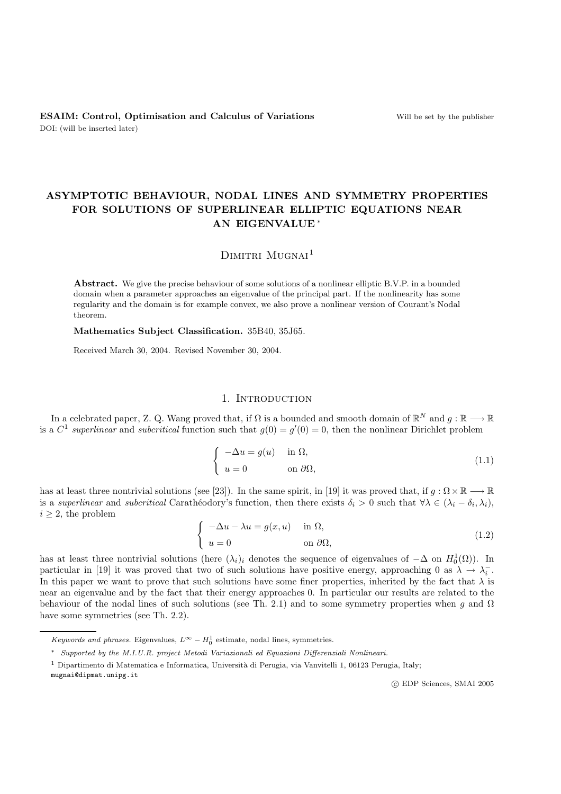# **ASYMPTOTIC BEHAVIOUR, NODAL LINES AND SYMMETRY PROPERTIES FOR SOLUTIONS OF SUPERLINEAR ELLIPTIC EQUATIONS NEAR AN EIGENVALUE** ∗

# $D$ IMITRI MUGNAI<sup>1</sup>

**Abstract.** We give the precise behaviour of some solutions of a nonlinear elliptic B.V.P. in a bounded domain when a parameter approaches an eigenvalue of the principal part. If the nonlinearity has some regularity and the domain is for example convex, we also prove a nonlinear version of Courant's Nodal theorem.

**Mathematics Subject Classification.** 35B40, 35J65.

Received March 30, 2004. Revised November 30, 2004.

#### 1. INTRODUCTION

In a celebrated paper, Z. Q. Wang proved that, if  $\Omega$  is a bounded and smooth domain of  $\mathbb{R}^N$  and  $g : \mathbb{R} \longrightarrow \mathbb{R}$ is a  $C^1$  *superlinear* and *subcritical* function such that  $g(0) = g'(0) = 0$ , then the nonlinear Dirichlet problem

$$
\begin{cases}\n-\Delta u = g(u) & \text{in } \Omega, \\
u = 0 & \text{on } \partial\Omega,\n\end{cases}
$$
\n(1.1)

has at least three nontrivial solutions (see [23]). In the same spirit, in [19] it was proved that, if  $g : \Omega \times \mathbb{R} \longrightarrow \mathbb{R}$ is a *superlinear* and *subcritical* Carathéodory's function, then there exists  $\delta_i > 0$  such that  $\forall \lambda \in (\lambda_i - \delta_i, \lambda_i)$ ,  $i \geq 2$ , the problem

$$
\begin{cases}\n-\Delta u - \lambda u = g(x, u) & \text{in } \Omega, \\
u = 0 & \text{on } \partial\Omega,\n\end{cases}
$$
\n(1.2)

has at least three nontrivial solutions (here  $(\lambda_i)_i$  denotes the sequence of eigenvalues of  $-\Delta$  on  $H_0^1(\Omega)$ ). In particular in [10] it was proved that two of qualitations have positive energy approaching 0 on  $\Sigma$ particular in [19] it was proved that two of such solutions have positive energy, approaching 0 as  $\lambda \to \lambda_i^-$ . In this paper we want to prove that such solutions have some finer properties, inherited by the fact that  $\lambda$  is near an eigenvalue and by the fact that their energy approaches 0. In particular our results are related to the behaviour of the nodal lines of such solutions (see Th. 2.1) and to some symmetry properties when g and  $\Omega$ have some symmetries (see Th. 2.2).

mugnai@dipmat.unipg.it

-c EDP Sciences, SMAI 2005

Keywords and phrases. Eigenvalues,  $L^{\infty} - H_0^1$  estimate, nodal lines, symmetries.

<sup>∗</sup> Supported by the M.I.U.R. project Metodi Variazionali ed Equazioni Differenziali Nonlineari.

<sup>&</sup>lt;sup>1</sup> Dipartimento di Matematica e Informatica, Università di Perugia, via Vanvitelli 1, 06123 Perugia, Italy;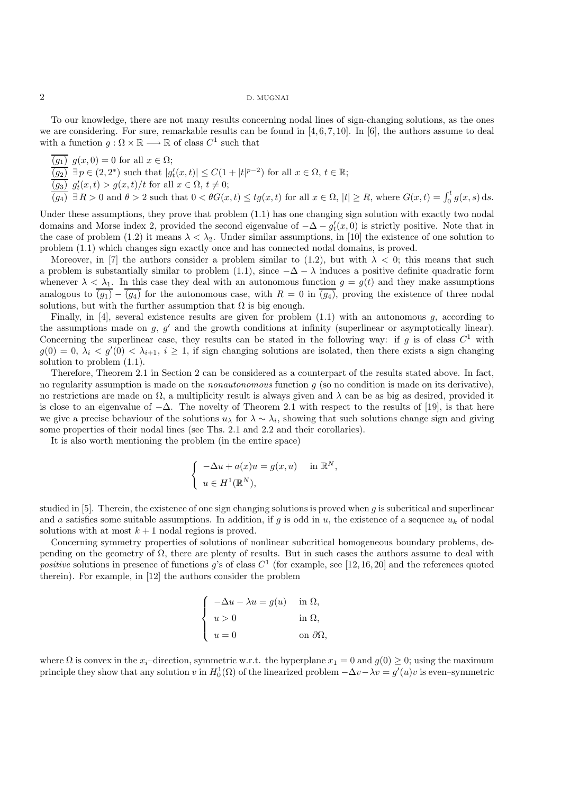To our knowledge, there are not many results concerning nodal lines of sign-changing solutions, as the ones we are considering. For sure, remarkable results can be found in  $[4, 6, 7, 10]$ . In  $[6]$ , the authors assume to deal with a function  $q : \Omega \times \mathbb{R} \longrightarrow \mathbb{R}$  of class  $C^1$  such that

 $\overline{(g_1)}$   $g(x, 0) = 0$  for all  $x \in \Omega$ ;  $\overline{(g_2)}$   $\exists p \in (2,2^*)$  such that  $|g'_t(x,t)| \leq C(1+|t|^{p-2})$  for all  $x \in \Omega$ ,  $t \in \mathbb{R}$ ;

 $\overline{(g_3)}$   $g'_t(x,t) > g(x,t)/t$  for all  $x \in \Omega$ ,  $t \neq 0$ ;<br>  $\overline{(g_4)} \exists R > 0$  and  $\theta > 2$  such that  $0 < \theta G(x,t) \leq tg(x,t)$  for all  $x \in \Omega$ ,  $|t| \geq R$ , where  $G(x,t) = \int_0^t g(x,s) ds$ .

Under these assumptions, they prove that problem (1.1) has one changing sign solution with exactly two nodal domains and Morse index 2, provided the second eigenvalue of  $-\Delta - g_t'(x, 0)$  is strictly positive. Note that in the case of problem (1.2) it means  $\Delta \leq \lambda$ . Under similar assumptions in [10] the oxistence of one solution t the case of problem (1.2) it means  $\lambda < \lambda_2$ . Under similar assumptions, in [10] the existence of one solution to problem (1.1) which changes sign exactly once and has connected nodal domains, is proved.

Moreover, in [7] the authors consider a problem similar to (1.2), but with  $\lambda < 0$ ; this means that such a problem is substantially similar to problem (1.1), since  $-\Delta - \lambda$  induces a positive definite quadratic form whenever  $\lambda < \lambda_1$ . In this case they deal with an autonomous function  $g = g(t)$  and they make assumptions analogous to  $\overline{(g_1)} - \overline{(g_4)}$  for the autonomous case, with  $R = 0$  in  $\overline{(g_4)}$ , proving the existence of three nodal solutions, but with the further assumption that  $\Omega$  is big enough.

Finally, in [4], several existence results are given for problem  $(1.1)$  with an autonomous q, according to the assumptions made on q,  $q'$  and the growth conditions at infinity (superlinear or asymptotically linear). Concerning the superlinear case, they results can be stated in the following way: if g is of class  $C^1$  with  $g(0) = 0, \lambda_i < g'(0) < \lambda_{i+1}, i \ge 1$ , if sign changing solutions are isolated, then there exists a sign changing solution to problem (1.1).

Therefore, Theorem 2.1 in Section 2 can be considered as a counterpart of the results stated above. In fact, no regularity assumption is made on the *nonautonomous* function g (so no condition is made on its derivative), no restrictions are made on  $\Omega$ , a multiplicity result is always given and  $\lambda$  can be as big as desired, provided it is close to an eigenvalue of  $-\Delta$ . The novelty of Theorem 2.1 with respect to the results of [19], is that here we give a precise behaviour of the solutions  $u_\lambda$  for  $\lambda \sim \lambda_i$ , showing that such solutions change sign and giving some properties of their nodal lines (see Ths. 2.1 and 2.2 and their corollaries).

It is also worth mentioning the problem (in the entire space)

$$
\begin{cases}\n-\Delta u + a(x)u = g(x, u) & \text{in } \mathbb{R}^N, \\
u \in H^1(\mathbb{R}^N),\n\end{cases}
$$

studied in  $[5]$ . Therein, the existence of one sign changing solutions is proved when g is subcritical and superlinear and a satisfies some suitable assumptions. In addition, if g is odd in u, the existence of a sequence  $u_k$  of nodal solutions with at most  $k + 1$  nodal regions is proved.

Concerning symmetry properties of solutions of nonlinear subcritical homogeneous boundary problems, depending on the geometry of  $\Omega$ , there are plenty of results. But in such cases the authors assume to deal with *positive* solutions in presence of functions g's of class  $C^1$  (for example, see [12, 16, 20] and the references quoted therein). For example, in [12] the authors consider the problem

$$
\begin{cases}\n-\Delta u - \lambda u = g(u) & \text{in } \Omega, \\
u > 0 & \text{in } \Omega, \\
u = 0 & \text{on } \partial\Omega,\n\end{cases}
$$

where  $\Omega$  is convex in the x<sub>i</sub>–direction, symmetric w.r.t. the hyperplane  $x_1 = 0$  and  $g(0) \ge 0$ ; using the maximum principle they show that any solution v in  $H_0^1(\Omega)$  of the linearized problem  $-\Delta v - \lambda v = g'(u)v$  is even–symmetric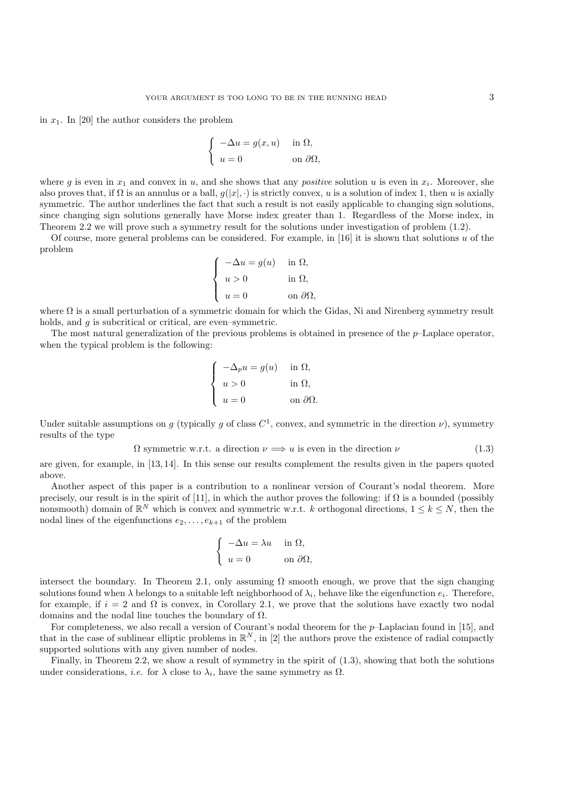in  $x_1$ . In [20] the author considers the problem

$$
\begin{cases}\n-\Delta u = g(x, u) & \text{in } \Omega, \\
u = 0 & \text{on } \partial\Omega,\n\end{cases}
$$

where g is even in  $x_1$  and convex in u, and she shows that any *positive* solution u is even in  $x_i$ . Moreover, she also proves that, if  $\Omega$  is an annulus or a ball,  $q(|x|, \cdot)$  is strictly convex, u is a solution of index 1, then u is axially symmetric. The author underlines the fact that such a result is not easily applicable to changing sign solutions, since changing sign solutions generally have Morse index greater than 1. Regardless of the Morse index, in Theorem 2.2 we will prove such a symmetry result for the solutions under investigation of problem (1.2).

Of course, more general problems can be considered. For example, in [16] it is shown that solutions u of the problem

$$
\begin{cases}\n-\Delta u = g(u) & \text{in } \Omega, \\
u > 0 & \text{in } \Omega, \\
u = 0 & \text{on } \partial\Omega,\n\end{cases}
$$

where  $\Omega$  is a small perturbation of a symmetric domain for which the Gidas, Ni and Nirenberg symmetry result holds, and g is subcritical or critical, are even–symmetric.

The most natural generalization of the previous problems is obtained in presence of the  $p$ -Laplace operator, when the typical problem is the following:

$$
\begin{cases}\n-\Delta_p u = g(u) & \text{in } \Omega, \\
u > 0 & \text{in } \Omega, \\
u = 0 & \text{on } \partial\Omega.\n\end{cases}
$$

Under suitable assumptions on g (typically g of class  $C^1$ , convex, and symmetric in the direction  $\nu$ ), symmetry results of the type

$$
\Omega \text{ symmetric w.r.t. a direction } \nu \Longrightarrow u \text{ is even in the direction } \nu \tag{1.3}
$$

are given, for example, in [13, 14]. In this sense our results complement the results given in the papers quoted above.

Another aspect of this paper is a contribution to a nonlinear version of Courant's nodal theorem. More precisely, our result is in the spirit of [11], in which the author proves the following: if  $\Omega$  is a bounded (possibly nonsmooth) domain of  $\mathbb{R}^N$  which is convex and symmetric w.r.t. k orthogonal directions,  $1 \leq k \leq N$ , then the nodal lines of the eigenfunctions  $e_2, \ldots, e_{k+1}$  of the problem

$$
\begin{cases}\n-\Delta u = \lambda u & \text{in } \Omega, \\
u = 0 & \text{on } \partial \Omega,\n\end{cases}
$$

intersect the boundary. In Theorem 2.1, only assuming  $\Omega$  smooth enough, we prove that the sign changing solutions found when  $\lambda$  belongs to a suitable left neighborhood of  $\lambda_i$ , behave like the eigenfunction  $e_i$ . Therefore, for example, if  $i = 2$  and  $\Omega$  is convex, in Corollary 2.1, we prove that the solutions have exactly two nodal domains and the nodal line touches the boundary of  $\Omega$ .

For completeness, we also recall a version of Courant's nodal theorem for the p–Laplacian found in [15], and that in the case of sublinear elliptic problems in  $\mathbb{R}^N$ , in [2] the authors prove the existence of radial compactly supported solutions with any given number of nodes.

Finally, in Theorem 2.2, we show a result of symmetry in the spirit of (1.3), showing that both the solutions under considerations, *i.e.* for  $\lambda$  close to  $\lambda_i$ , have the same symmetry as  $\Omega$ .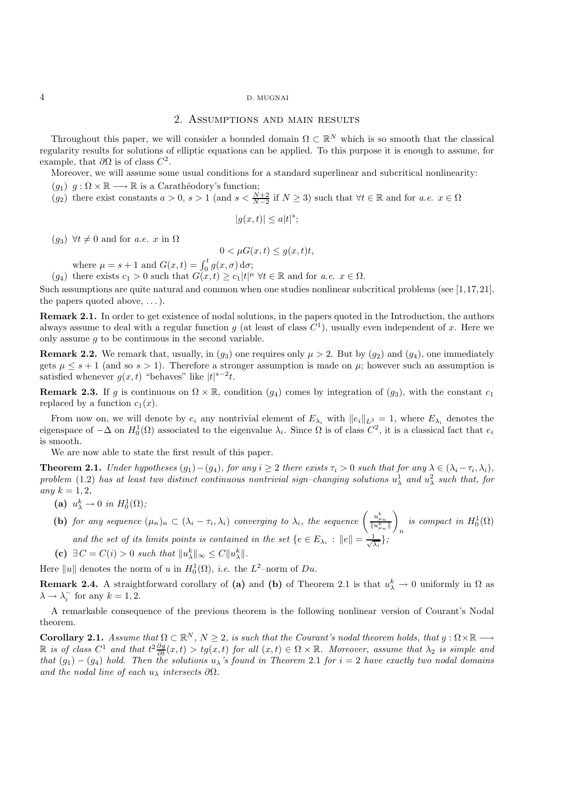### 2. Assumptions and main results

Throughout this paper, we will consider a bounded domain  $\Omega \subset \mathbb{R}^N$  which is so smooth that the classical regularity results for solutions of elliptic equations can be applied. To this purpose it is enough to assume, for example, that  $\partial\Omega$  is of class  $C^2$ .

Moreover, we will assume some usual conditions for a standard superlinear and subcritical nonlinearity:

- $(g_1)$   $g : \Omega \times \mathbb{R} \longrightarrow \mathbb{R}$  is a Carathéodory's function;
- $(g_2)$  there exist constants  $a > 0$ ,  $s > 1$  (and  $s < \frac{N+2}{N-2}$  if  $N \ge 3$ ) such that  $\forall t \in \mathbb{R}$  and for  $a.e.$   $x \in \Omega$

$$
|g(x,t)| \le a|t|^s;
$$

(g<sub>3</sub>)  $\forall t \neq 0$  and for *a.e.* x in  $\Omega$ 

$$
0 < \mu G(x, t) \le g(x, t)t
$$

where  $\mu = s + 1$  and  $G(x, t) = \int_0^t g(x, \sigma) d\sigma$ ;

 $(g_4)$  there exists  $c_1 > 0$  such that  $G(x, t) \ge c_1 |t|^{\mu} \ \forall t \in \mathbb{R}$  and for  $a.e.$   $x \in \Omega$ .

Such assumptions are quite natural and common when one studies nonlinear subcritical problems (see [1,17,21], the papers quoted above,  $\dots$ ).

**Remark 2.1.** In order to get existence of nodal solutions, in the papers quoted in the Introduction, the authors always assume to deal with a regular function g (at least of class  $C<sup>1</sup>$ ), usually even independent of x. Here we only assume  $q$  to be continuous in the second variable.

**Remark 2.2.** We remark that, usually, in  $(g_3)$  one requires only  $\mu > 2$ . But by  $(g_2)$  and  $(g_4)$ , one immediately gets  $\mu \leq s+1$  (and so  $s > 1$ ). Therefore a stronger assumption is made on  $\mu$ ; however such an assumption is satisfied whenever  $g(x,t)$  "behaves" like  $|t|^{s-2}t$ .

**Remark 2.3.** If g is continuous on  $\Omega \times \mathbb{R}$ , condition (g<sub>4</sub>) comes by integration of (g<sub>3</sub>), with the constant  $c_1$ replaced by a function  $c_1(x)$ .

From now on, we will denote by  $e_i$  any nontrivial element of  $E_{\lambda_i}$  with  $||e_i||_{L^2} = 1$ , where  $E_{\lambda_i}$  denotes the eigenspace of  $-\Delta$  on  $H_0^1(\Omega)$  associated to the eigenvalue  $\lambda_i$ . Since  $\Omega$  is of class  $C^2$ , it is a classical fact that  $e_i$ is smooth.

We are now able to state the first result of this paper.

**Theorem 2.1.** *Under hypotheses*  $(g_1) - (g_4)$ *, for any*  $i \geq 2$  *there exists*  $\tau_i > 0$  *such that for any*  $\lambda \in (\lambda_i - \tau_i, \lambda_i)$ *,* problem (1.2) has at least two distinct continuous nontrivial sign–changing solutions  $u^1_\lambda$  and  $u^2_\lambda$  such that, for  $any \; k = 1, 2,$ 

- (a)  $u_{\lambda}^{k} \to 0$  *in*  $H_{0}^{1}(\Omega)$ *;*
- **(b)** *for any sequence*  $(\mu_n)_n \subset (\lambda_i \tau_i, \lambda_i)$  *converging to*  $\lambda_i$ *, the sequence*  $\left( \frac{u_{\mu_n}^k}{\| u_{\mu_n}^k \|} \right)$  $\setminus$ *is compact in*  $H_0^1(\Omega)$ *and the set of its limits points is contained in the set*  $\{e \in E_{\lambda_i} : ||e|| = \frac{1}{\sqrt{\lambda}}\}$ }*;*

λi

**(c)**  $\exists C = C(i) > 0$  *such that*  $||u_{\lambda}^{k}||_{\infty} \leq C||u_{\lambda}^{k}||.$ 

Here  $||u||$  denotes the norm of u in  $H_0^1(\Omega)$ , *i.e.* the  $L^2$ -norm of  $Du$ .

**Remark 2.4.** A straightforward corollary of (a) and (b) of Theorem 2.1 is that  $u_{\lambda}^{k} \to 0$  uniformly in  $\Omega$  as  $\lambda \to \lambda_i^-$  for any  $k = 1, 2$ .

A remarkable consequence of the previous theorem is the following nonlinear version of Courant's Nodal theorem.

**Corollary 2.1.** *Assume that*  $\Omega \subset \mathbb{R}^N$ ,  $N \geq 2$ , *is such that the Courant's nodal theorem holds, that*  $g : \Omega \times \mathbb{R} \longrightarrow$  $\mathbb{R}$  *is of class*  $C^1$  *and that*  $t^2 \frac{\partial g}{\partial t}(x,t) > tg(x,t)$  *for all*  $(x,t) \in \Omega \times \mathbb{R}$ *. Moreover, assume that*  $\lambda_2$  *is simple and*<br>*that*  $(a_1) = (a_1)$  *hold. Then the solutions us 's found in Theorem* 2.1 *fo that*  $(g_1) - (g_4)$  *hold. Then the solutions*  $u_\lambda$ 's found in Theorem 2.1 for  $i = 2$  *have exactly two nodal domains and the nodal line of each*  $u_{\lambda}$  *intersects*  $\partial\Omega$ *.*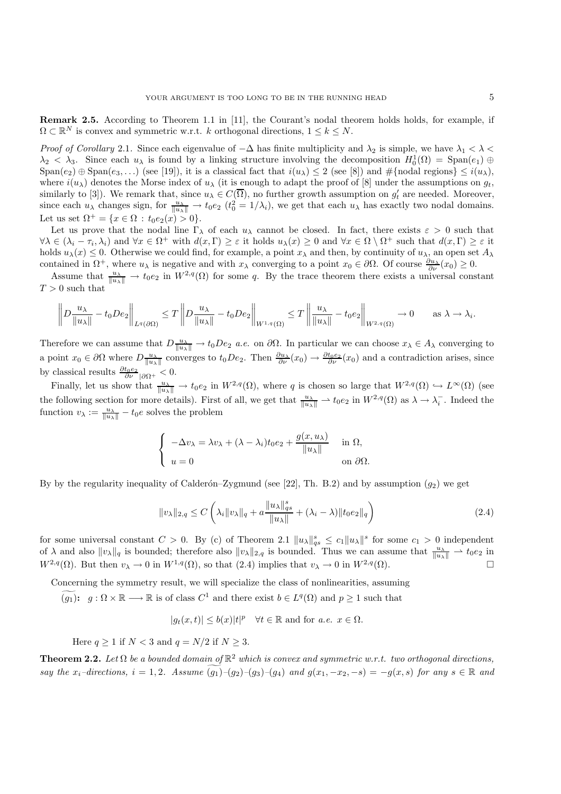**Remark 2.5.** According to Theorem 1.1 in [11], the Courant's nodal theorem holds holds, for example, if  $\Omega \subset \mathbb{R}^N$  is convex and symmetric w.r.t. k orthogonal directions,  $1 \leq k \leq N$ .

*Proof of Corollary* 2.1. Since each eigenvalue of  $-\Delta$  has finite multiplicity and  $\lambda_2$  is simple, we have  $\lambda_1 < \lambda <$  $\lambda_2 < \lambda_3$ . Since each  $u_\lambda$  is found by a linking structure involving the decomposition  $H_0^1(\Omega) = \text{Span}(e_1) \oplus \text{Span}(e_2) \oplus \text{Span}(e_3)$  $\text{Span}(e_2) \oplus \text{Span}(e_3,\ldots)$  (see [19]), it is a classical fact that  $i(u_\lambda) \leq 2$  (see [8]) and  $\#\{\text{nodal regions}\} \leq i(u_\lambda)$ , where  $i(u_\lambda)$  denotes the Morse index of  $u_\lambda$  (it is enough to adapt the proof of [8] under the assumptions on  $g_t$ , similarly to [3]). We remark that, since  $u_{\lambda} \in C(\overline{\Omega})$ , no further growth assumption on  $g_t'$  are needed. Moreover, since each  $u_{\lambda}$  changes sign, for  $\frac{u_{\lambda}}{\|u_{\lambda}\|} \to t_0 e_2$   $(t_0^2 = 1/\lambda_i)$ , we get that each  $u_{\lambda}$  has exactly two nodal domains. Let us set  $\Omega^+ = \{x \in \Omega : t_0 e_2(x) > 0\}.$ 

Let us prove that the nodal line  $\Gamma_{\lambda}$  of each  $u_{\lambda}$  cannot be closed. In fact, there exists  $\varepsilon > 0$  such that  $\forall \lambda \in (\lambda_i - \tau_i, \lambda_i)$  and  $\forall x \in \Omega^+$  with  $d(x, \Gamma) \geq \varepsilon$  it holds  $u_\lambda(x) \geq 0$  and  $\forall x \in \Omega \setminus \Omega^+$  such that  $d(x, \Gamma) \geq \varepsilon$  it holds  $u_\lambda(x) \leq 0$ . Otherwise we could find, for example, a point  $x_\lambda$  and then, by continuity of  $u_\lambda$ , an open set  $A_\lambda$ contained in  $\Omega^+$ , where  $u_\lambda$  is negative and with  $x_\lambda$  converging to a point  $x_0 \in \partial\Omega$ . Of course  $\frac{\partial u_\lambda}{\partial \nu}(x_0) \geq 0$ .

Assume that  $\frac{u_{\lambda}}{\|u_{\lambda}\|} \to t_0 e_2$  in  $W^{2,q}(\Omega)$  for some q. By the trace theorem there exists a universal constant  $T > 0$  such that

$$
\left\| D \frac{u_\lambda}{\|u_\lambda\|} - t_0 D e_2 \right\|_{L^q(\partial \Omega)} \leq T \left\| D \frac{u_\lambda}{\|u_\lambda\|} - t_0 D e_2 \right\|_{W^{1,q}(\Omega)} \leq T \left\| \frac{u_\lambda}{\|u_\lambda\|} - t_0 e_2 \right\|_{W^{2,q}(\Omega)} \to 0 \quad \text{as } \lambda \to \lambda_i.
$$

Therefore we can assume that  $D \frac{u_\lambda}{\|u_\lambda\|} \to t_0 D e_2$  *a.e.* on  $\partial \Omega$ . In particular we can choose  $x_\lambda \in A_\lambda$  converging to a point  $x_0 \in \partial\Omega$  where  $D\frac{u_\lambda}{\|u_\lambda\|}$  converges to  $t_0 De_2$ . Then  $\frac{\partial u_\lambda}{\partial \nu}(x_0) \to \frac{\partial t_0 e_2}{\partial \nu}(x_0)$  and a contradiction arises, since by classical results  $\frac{\partial t_0 e_2}{\partial \nu} |_{\partial \Omega^+} < 0$ .

Finally, let us show that  $\frac{u_\lambda}{\|u_\lambda\|} \to t_0 e_2$  in  $W^{2,q}(\Omega)$ , where q is chosen so large that  $W^{2,q}(\Omega) \hookrightarrow L^{\infty}(\Omega)$  (see the following section for more details). First of all, we get that  $\frac{u_\lambda}{\|u_\lambda\|} \to t_0 e_2$  in  $W^{2,q}(\Omega)$  as  $\lambda \to \lambda_i^-$ . Indeed the function  $u_\lambda := u_\lambda$  as the solves the problem function  $v_{\lambda} := \frac{u_{\lambda}}{\|u_{\lambda}\|} - t_0 e$  solves the problem

$$
\begin{cases}\n-\Delta v_{\lambda} = \lambda v_{\lambda} + (\lambda - \lambda_i)t_0 e_2 + \frac{g(x, u_{\lambda})}{\|u_{\lambda}\|} & \text{in } \Omega, \\
u = 0 & \text{on } \partial\Omega.\n\end{cases}
$$

By by the regularity inequality of Calderón–Zygmund (see [22], Th. B.2) and by assumption  $(q_2)$  we get

$$
||v_{\lambda}||_{2,q} \le C\left(\lambda_i ||v_{\lambda}||_q + a\frac{||u_{\lambda}||_{qs}^s}{||u_{\lambda}||} + (\lambda_i - \lambda) ||t_0 e_2||_q\right)
$$
\n(2.4)

for some universal constant  $C > 0$ . By (c) of Theorem 2.1  $||u_\lambda||_{qs}^s \le c_1 ||u_\lambda||^s$  for some  $c_1 > 0$  independent<br>of  $\lambda$  and also  $||u_\lambda||$  is bounded; therefore also  $||u_\lambda||_{q}$  is bounded. Thus we can assume that  $u_\lambda \to t.e$ of  $\lambda$  and also  $||v_{\lambda}||_q$  is bounded; therefore also  $||v_{\lambda}||_{2,q}$  is bounded. Thus we can assume that  $\frac{u_{\lambda}}{||u_{\lambda}||} \to t_0 e_2$  in  $W^{2,q}(\Omega)$ . But then  $v_\lambda \to 0$  in  $W^{1,q}(\Omega)$ , so that  $(2.4)$  implies that  $v_\lambda \to 0$  in  $W^{2,q}(\Omega)$ .

Concerning the symmetry result, we will specialize the class of nonlinearities, assuming

 $(g_1)$ :  $g: \Omega \times \mathbb{R} \longrightarrow \mathbb{R}$  is of class  $C^1$  and there exist  $b \in L^q(\Omega)$  and  $p \ge 1$  such that

 $|g_t(x,t)| \le b(x)|t|^p \quad \forall t \in \mathbb{R}$  and for  $a.e.$   $x \in \Omega$ .

Here  $q \ge 1$  if  $N < 3$  and  $q = N/2$  if  $N \ge 3$ .

**Theorem 2.2.** *Let*  $\Omega$  *be a bounded domain of*  $\mathbb{R}^2$  *which is convex and symmetric w.r.t. two orthogonal directions,*  $say \,the \,x_i\text{-directions}, \,i=1,2.$  Assume  $(g_1)-(g_2)-(g_3)-(g_4)$  and  $g(x_1, -x_2, -s) = -g(x, s)$  for any  $s \in \mathbb{R}$  and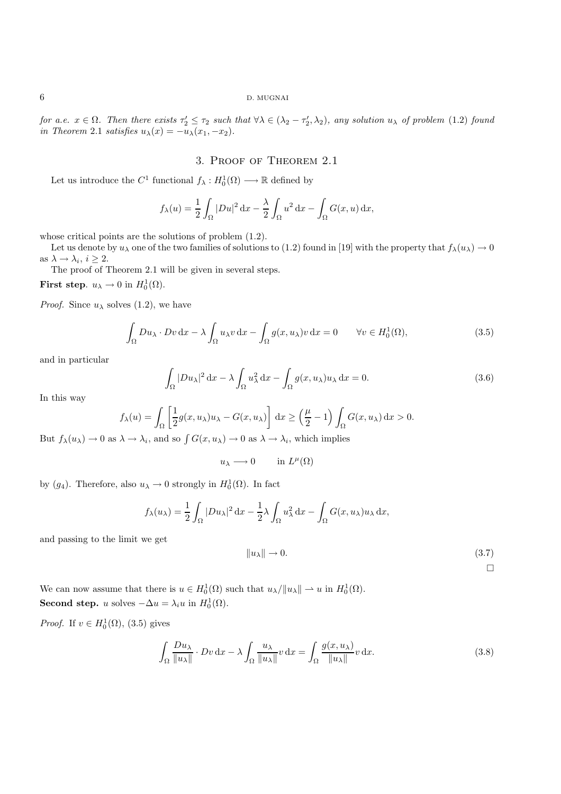*for a.e.*  $x \in \Omega$ *. Then there exists*  $\tau_2' \leq \tau_2$  *such that*  $\forall \lambda \in (\lambda_2 - \tau_2', \lambda_2)$ *, any solution*  $u_\lambda$  *of problem* (1.2) *found* in Theorem 2.1 *sotisfies*  $u(\lambda) = u_\lambda'(\lambda - \lambda)$ *in Theorem* 2.1 *satisfies*  $u_{\lambda}(x) = -u_{\lambda}(x_1, -x_2)$ .

## 3. Proof of Theorem 2.1

Let us introduce the  $C^1$  functional  $f_{\lambda}: H_0^1(\Omega) \longrightarrow \mathbb{R}$  defined by

$$
f_{\lambda}(u) = \frac{1}{2} \int_{\Omega} |Du|^2 \, \mathrm{d}x - \frac{\lambda}{2} \int_{\Omega} u^2 \, \mathrm{d}x - \int_{\Omega} G(x, u) \, \mathrm{d}x,
$$

whose critical points are the solutions of problem  $(1.2)$ .

Let us denote by  $u_\lambda$  one of the two families of solutions to (1.2) found in [19] with the property that  $f_\lambda(u_\lambda) \to 0$ as  $\lambda \to \lambda_i$ ,  $i > 2$ .

The proof of Theorem 2.1 will be given in several steps.

**First step.**  $u_{\lambda} \to 0$  in  $H_0^1(\Omega)$ .

*Proof.* Since  $u_{\lambda}$  solves (1.2), we have

$$
\int_{\Omega} Du_{\lambda} \cdot Dv \, dx - \lambda \int_{\Omega} u_{\lambda} v \, dx - \int_{\Omega} g(x, u_{\lambda}) v \, dx = 0 \qquad \forall v \in H_0^1(\Omega),
$$
\n(3.5)

and in particular

$$
\int_{\Omega} |Du_{\lambda}|^2 dx - \lambda \int_{\Omega} u_{\lambda}^2 dx - \int_{\Omega} g(x, u_{\lambda}) u_{\lambda} dx = 0.
$$
\n(3.6)

In this way

$$
f_{\lambda}(u) = \int_{\Omega} \left[ \frac{1}{2} g(x, u_{\lambda}) u_{\lambda} - G(x, u_{\lambda}) \right] dx \ge \left( \frac{\mu}{2} - 1 \right) \int_{\Omega} G(x, u_{\lambda}) dx > 0.
$$

But  $f_{\lambda}(u_{\lambda}) \to 0$  as  $\lambda \to \lambda_i$ , and so  $\int G(x, u_{\lambda}) \to 0$  as  $\lambda \to \lambda_i$ , which implies

 $u_{\lambda} \longrightarrow 0$  in  $L^{\mu}(\Omega)$ 

by  $(g_4)$ . Therefore, also  $u_\lambda \to 0$  strongly in  $H_0^1(\Omega)$ . In fact

$$
f_{\lambda}(u_{\lambda}) = \frac{1}{2} \int_{\Omega} |Du_{\lambda}|^2 dx - \frac{1}{2} \lambda \int_{\Omega} u_{\lambda}^2 dx - \int_{\Omega} G(x, u_{\lambda}) u_{\lambda} dx,
$$

and passing to the limit we get

$$
||u_{\lambda}|| \to 0. \tag{3.7}
$$

 $\Box$ 

We can now assume that there is  $u \in H_0^1(\Omega)$  such that  $u_\lambda / ||u_\lambda|| \rightharpoonup u$  in  $H_0^1(\Omega)$ . **Second step.** u solves  $-\Delta u = \lambda_i u$  in  $H_0^1(\Omega)$ .

*Proof.* If  $v \in H_0^1(\Omega)$ , (3.5) gives

$$
\int_{\Omega} \frac{Du_{\lambda}}{\|u_{\lambda}\|} \cdot Dv \, \mathrm{d}x - \lambda \int_{\Omega} \frac{u_{\lambda}}{\|u_{\lambda}\|} v \, \mathrm{d}x = \int_{\Omega} \frac{g(x, u_{\lambda})}{\|u_{\lambda}\|} v \, \mathrm{d}x. \tag{3.8}
$$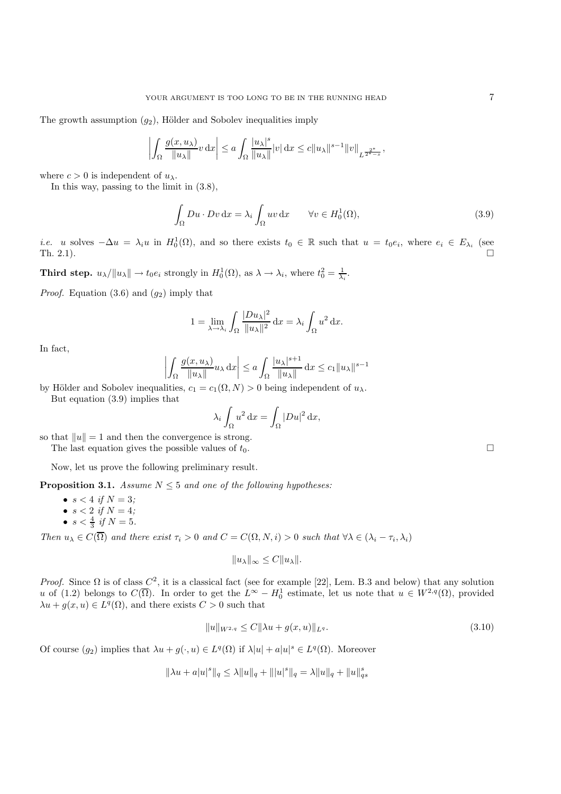The growth assumption  $(g_2)$ , Hölder and Sobolev inequalities imply

$$
\left| \int_{\Omega} \frac{g(x, u_{\lambda})}{\|u_{\lambda}\|} v \, dx \right| \le a \int_{\Omega} \frac{|u_{\lambda}|^s}{\|u_{\lambda}\|} |v| \, dx \le c \|u_{\lambda}\|^{s-1} \|v\|_{L^{\frac{2^*}{2^*-s}}},
$$

where  $c > 0$  is independent of  $u_{\lambda}$ .

In this way, passing to the limit in (3.8),

$$
\int_{\Omega} Du \cdot Dv \, \mathrm{d}x = \lambda_i \int_{\Omega} uv \, \mathrm{d}x \qquad \forall v \in H_0^1(\Omega),\tag{3.9}
$$

*i.e.* u solves  $-\Delta u = \lambda_i u$  in  $H_0^1(\Omega)$ , and so there exists  $t_0 \in \mathbb{R}$  such that  $u = t_0 e_i$ , where  $e_i \in E_{\lambda_i}$  (see Th. 2.1).  $\square$ 

**Third step.**  $u_{\lambda}/\|u_{\lambda}\| \to t_0 e_i$  strongly in  $H_0^1(\Omega)$ , as  $\lambda \to \lambda_i$ , where  $t_0^2 = \frac{1}{\lambda_i}$ .

*Proof.* Equation  $(3.6)$  and  $(g_2)$  imply that

$$
1 = \lim_{\lambda \to \lambda_i} \int_{\Omega} \frac{|Du_{\lambda}|^2}{\|u_{\lambda}\|^2} dx = \lambda_i \int_{\Omega} u^2 dx.
$$

In fact,

$$
\left| \int_{\Omega} \frac{g(x, u_{\lambda})}{\|u_{\lambda}\|} u_{\lambda} \,dx \right| \le a \int_{\Omega} \frac{|u_{\lambda}|^{s+1}}{\|u_{\lambda}\|} \,dx \le c_1 \|u_{\lambda}\|^{s-1}
$$

by Hölder and Sobolev inequalities,  $c_1 = c_1(\Omega, N) > 0$  being independent of  $u_\lambda$ . But equation (3.9) implies that

$$
\lambda_i \int_{\Omega} u^2 \, \mathrm{d}x = \int_{\Omega} |Du|^2 \, \mathrm{d}x,
$$

so that  $||u|| = 1$  and then the convergence is strong. The last equation gives the possible values of  $t_0$ .

Now, let us prove the following preliminary result.

**Proposition 3.1.** *Assume*  $N \leq 5$  *and one of the following hypotheses:* 

- $s < 4$  *if*  $N = 3$ ;
- $\bullet \ \ s < 2 \ \ if \ N = 4;$
- $s < \frac{4}{3}$  *if*  $N = 5$ *.*

*Then*  $u_{\lambda} \in C(\overline{\Omega})$  *and there exist*  $\tau_i > 0$  *and*  $C = C(\Omega, N, i) > 0$  *such that*  $\forall \lambda \in (\lambda_i - \tau_i, \lambda_i)$ 

 $||u_\lambda||_\infty \leq C||u_\lambda||.$ 

*Proof.* Since  $\Omega$  is of class  $C^2$ , it is a classical fact (see for example [22], Lem. B.3 and below) that any solution u of (1.2) belongs to  $C(\overline{\Omega})$ . In order to get the  $L^{\infty} - H_0^1$  estimate, let us note that  $u \in W^{2,q}(\Omega)$ , provided  $\lambda u + g(x, u) \in L^q(\Omega)$ , and there exists  $C > 0$  such that

$$
||u||_{W^{2,q}} \le C||\lambda u + g(x, u)||_{L^q}.
$$
\n(3.10)

Of course  $(g_2)$  implies that  $\lambda u + g(\cdot, u) \in L^q(\Omega)$  if  $\lambda |u| + a|u|^s \in L^q(\Omega)$ . Moreover

$$
\|\lambda u + a|u|^{s}\|_{q} \le \lambda \|u\|_{q} + \| |u|^{s}\|_{q} = \lambda \|u\|_{q} + \|u\|_{qs}^{s}
$$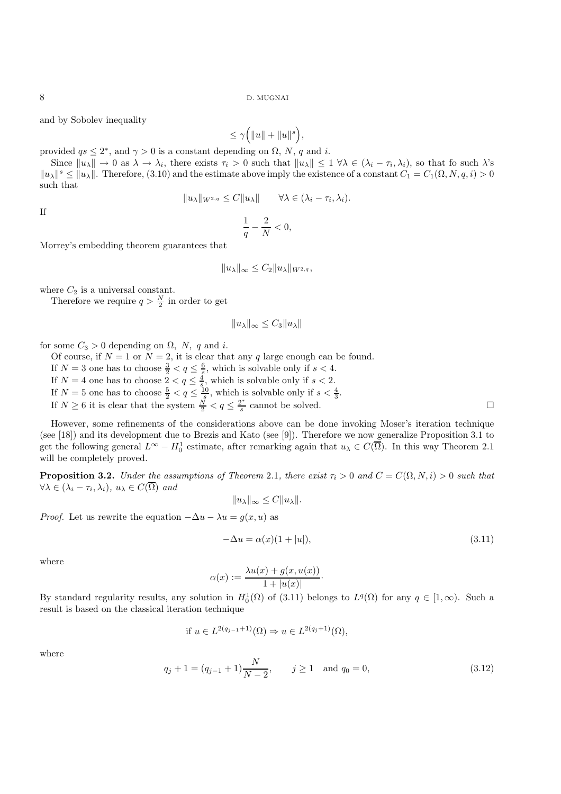and by Sobolev inequality

# $\leq \gamma\Big(\|u\|+\|u\|^s\Big),$

provided  $qs \leq 2^*$ , and  $\gamma > 0$  is a constant depending on  $\Omega$ , N, q and i.

Since  $||u_\lambda|| \to 0$  as  $\lambda \to \lambda_i$ , there exists  $\tau_i > 0$  such that  $||u_\lambda|| \leq 1 \,\forall \lambda \in (\lambda_i - \tau_i, \lambda_i)$ , so that fo such  $\lambda$ 's  $\|u_\lambda\|^s \leq \|u_\lambda\|$ . Therefore, (3.10) and the estimate above imply the existence of a constant  $C_1 = C_1(\Omega, N, q, i) > 0$ such that

$$
||u_\lambda||_{W^{2,q}} \leq C||u_\lambda|| \qquad \forall \lambda \in (\lambda_i - \tau_i, \lambda_i).
$$

If

$$
\frac{1}{q} - \frac{2}{N} < 0,
$$

Morrey's embedding theorem guarantees that

$$
||u_\lambda||_\infty \leq C_2 ||u_\lambda||_{W^{2,q}},
$$

where  $C_2$  is a universal constant.

Therefore we require  $q > \frac{N}{2}$  in order to get

$$
||u_\lambda||_\infty \le C_3 ||u_\lambda||
$$

for some  $C_3 > 0$  depending on  $\Omega$ , N, q and i.

Of course, if  $N = 1$  or  $N = 2$ , it is clear that any q large enough can be found.

- 
- 
- If  $N = 3$  one has to choose  $\frac{3}{2} < q \leq \frac{6}{s}$ , which is solvable only if  $s < 4$ .<br>If  $N = 4$  one has to choose  $2 < q \leq \frac{4}{s}$ , which is solvable only if  $s < 2$ .<br>If  $N = 5$  one has to choose  $\frac{5}{2} < q \leq \frac{10}{s}$ , which
- If  $N \ge 6$  it is clear that the system  $\frac{N}{2} < q \le \frac{2^*}{s}$  cannot be solved.

However, some refinements of the considerations above can be done invoking Moser's iteration technique (see [18]) and its development due to Brezis and Kato (see [9]). Therefore we now generalize Proposition 3.1 to get the following general  $L^{\infty} - H_0^1$  estimate, after remarking again that  $u_{\lambda} \in C(\overline{\Omega})$ . In this way Theorem 2.1 will be completely proved.

**Proposition 3.2.** *Under the assumptions of Theorem 2.1, there exist*  $\tau_i > 0$  *and*  $C = C(\Omega, N, i) > 0$  *such that*  $\forall \lambda \in (\lambda_i - \tau_i, \lambda_i), u_\lambda \in C(\overline{\Omega})$  *and* 

$$
||u_\lambda||_\infty \leq C||u_\lambda||.
$$

*Proof.* Let us rewrite the equation  $-\Delta u - \lambda u = g(x, u)$  as

$$
-\Delta u = \alpha(x)(1+|u|),\tag{3.11}
$$

where

$$
\alpha(x) := \frac{\lambda u(x) + g(x, u(x))}{1 + |u(x)|}.
$$

By standard regularity results, any solution in  $H_0^1(\Omega)$  of (3.11) belongs to  $L^q(\Omega)$  for any  $q \in [1,\infty)$ . Such a result is based on the classical iteration technique

if 
$$
u \in L^{2(q_{j-1}+1)}(\Omega) \Rightarrow u \in L^{2(q_{j}+1)}(\Omega)
$$
,

where

$$
q_j + 1 = (q_{j-1} + 1)\frac{N}{N-2}, \qquad j \ge 1 \quad \text{and } q_0 = 0,
$$
\n(3.12)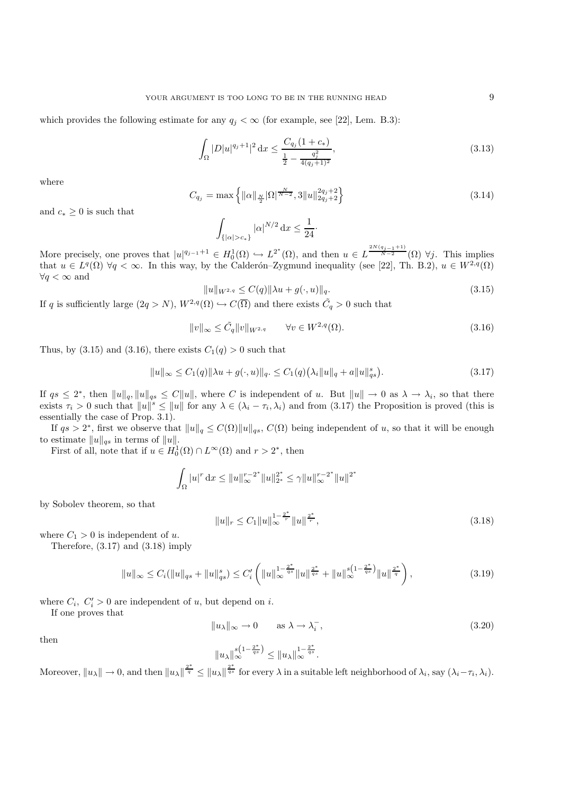which provides the following estimate for any  $q_i < \infty$  (for example, see [22], Lem. B.3):

$$
\int_{\Omega} |D|u|^{q_j+1}|^2 \, \mathrm{d}x \le \frac{C_{q_j}(1+c_*)}{\frac{1}{2} - \frac{q_j^2}{4(q_j+1)^2}},\tag{3.13}
$$

where

$$
C_{q_j} = \max\left\{ \|\alpha\|_{\frac{N}{2}} |\Omega|^{\frac{N}{N-2}}, 3 \|u\|_{2q_j+2}^{2q_j+2} \right\}
$$
\n(3.14)

and  $c_* \geq 0$  is such that

$$
\int_{\{|\alpha|>c_*\}} |\alpha|^{N/2} \,\mathrm{d} x \le \frac{1}{24} \cdot
$$

More precisely, one proves that  $|u|^{q_{j-1}+1} \in H_0^1(\Omega) \hookrightarrow L^{2^*}(\Omega)$ , and then  $u \in L^{\frac{2N(q_{j-1}+1)}{N-2}}(\Omega)$   $\forall j$ . This implies that  $u \in L^q(\Omega)$   $\forall q < \infty$ . In this way, by the Calderón–Zygmund inequality (see [22], Th. B.2),  $u \in W^{2,q}(\Omega)$  $\forall q < \infty$  and

$$
||u||_{W^{2,q}} \leq C(q)||\lambda u + g(\cdot, u)||_{q}.
$$
\n(3.15)

If q is sufficiently large  $(2q > N)$ ,  $W^{2,q}(\Omega) \hookrightarrow C(\overline{\Omega})$  and there exists  $\tilde{C}_q > 0$  such that

$$
||v||_{\infty} \le \tilde{C}_q ||v||_{W^{2,q}} \qquad \forall v \in W^{2,q}(\Omega). \tag{3.16}
$$

Thus, by (3.15) and (3.16), there exists  $C_1(q) > 0$  such that

$$
||u||_{\infty} \le C_1(q)||\lambda u + g(\cdot, u)||_q. \le C_1(q)(\lambda_i ||u||_q + a||u||_{qs}^s).
$$
\n(3.17)

If  $qs \leq 2^*$ , then  $||u||_q$ ,  $||u||_{qs} \leq C||u||$ , where C is independent of u. But  $||u|| \to 0$  as  $\lambda \to \lambda_i$ , so that there exists  $\tau_i > 0$  such that  $||u||^s \le ||u||$  for any  $\lambda \in (\lambda_i - \tau_i, \lambda_i)$  and from (3.17) the Proposition is proved (this is essentially the case of Prop. 3.1).

If  $qs > 2^*$ , first we observe that  $||u||_q \leq C(\Omega) ||u||_{qs}, C(\Omega)$  being independent of u, so that it will be enough to estimate  $||u||_{qs}$  in terms of  $||u||$ .

First of all, note that if  $u \in H_0^1(\Omega) \cap L^\infty(\Omega)$  and  $r > 2^*$ , then

$$
\int_{\Omega} |u|^r \, \mathrm{d}x \le ||u||_{\infty}^{r-2^*} ||u||_{2^*}^{2^*} \le \gamma ||u||_{\infty}^{r-2^*} ||u||^{2^*}
$$

by Sobolev theorem, so that

$$
||u||_{r} \leq C_{1}||u||_{\infty}^{1-\frac{2^{*}}{r}}||u||^{\frac{2^{*}}{r}},
$$
\n(3.18)

where  $C_1 > 0$  is independent of u.

Therefore, (3.17) and (3.18) imply

$$
||u||_{\infty} \leq C_i(||u||_{qs} + ||u||_{qs}^s) \leq C'_i \left( ||u||_{\infty}^{1 - \frac{2^*}{qs}} ||u||_{qs}^{\frac{2^*}{qs}} + ||u||_{\infty}^{s(1 - \frac{2^*}{qs})} ||u||_{q}^{\frac{2^*}{qs}} \right),
$$
\n(3.19)

where  $C_i$ ,  $C'_i > 0$  are independent of u, but depend on i.<br>If one proves that

If one proves that

$$
||u_{\lambda}||_{\infty} \to 0 \quad \text{as } \lambda \to \lambda_i^-, \tag{3.20}
$$

then

$$
||u_\lambda||_{\infty}^{s(1-\frac{2^*}{qs})} \le ||u_\lambda||_{\infty}^{1-\frac{2^*}{qs}}.
$$

Moreover,  $||u_\lambda|| \to 0$ , and then  $||u_\lambda||^{\frac{2^*}{q}} \le ||u_\lambda||^{\frac{2^*}{q_s}}$  for every  $\lambda$  in a suitable left neighborhood of  $\lambda_i$ , say  $(\lambda_i - \tau_i, \lambda_i)$ .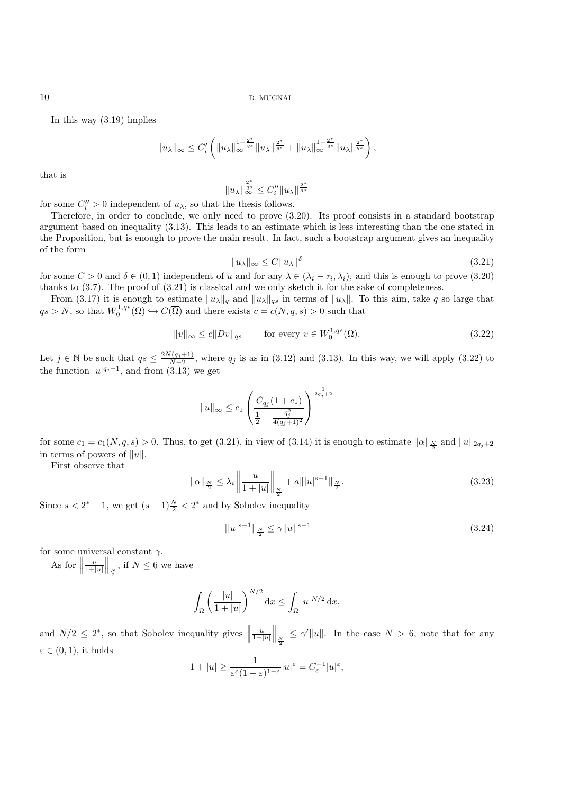In this way (3.19) implies

$$
||u_\lambda||_\infty \leq C_i' \left(||u_\lambda||_\infty^{1-\frac{2^*}{qs}} ||u_\lambda||^{\frac{2^*}{qs}} + ||u_\lambda||^{1-\frac{2^*}{qs}} ||u_\lambda||^{\frac{2^*}{qs}}\right),
$$

that is

$$
||u_\lambda||_\infty^{\frac{2^*}{qs}} \leq C_i'' ||u_\lambda||^{\frac{2^*}{qs}}
$$

for some  $C_i'' > 0$  independent of  $u_\lambda$ , so that the thesis follows.<br>Therefore, in order to conclude, we only need to prove (3)

Therefore, in order to conclude, we only need to prove (3.20). Its proof consists in a standard bootstrap argument based on inequality (3.13). This leads to an estimate which is less interesting than the one stated in the Proposition, but is enough to prove the main result. In fact, such a bootstrap argument gives an inequality of the form

$$
||u_{\lambda}||_{\infty} \le C||u_{\lambda}||^{\delta}
$$
\n(3.21)

for some  $C > 0$  and  $\delta \in (0, 1)$  independent of u and for any  $\lambda \in (\lambda_i - \tau_i, \lambda_i)$ , and this is enough to prove (3.20) thanks to (3.7). The proof of (3.21) is classical and we only sketch it for the sake of completeness.

From (3.17) it is enough to estimate  $||u_\lambda||_q$  and  $||u_\lambda||_{qs}$  in terms of  $||u_\lambda||$ . To this aim, take q so large that  $qs > N$ , so that  $W_0^{1,qs}(\Omega) \hookrightarrow C(\overline{\Omega})$  and there exists  $c = c(N, q, s) > 0$  such that

$$
||v||_{\infty} \le c||Dv||_{qs} \qquad \text{for every } v \in W_0^{1,qs}(\Omega). \tag{3.22}
$$

Let  $j \in \mathbb{N}$  be such that  $qs \leq \frac{2N(q_j+1)}{N-2}$ , where  $q_j$  is as in (3.12) and (3.13). In this way, we will apply (3.22) to the function  $|u|^{q_j+1}$ , and from (3.13) we get

$$
||u||_{\infty} \leq c_1 \left( \frac{C_{q_j}(1+c_*)}{\frac{1}{2}-\frac{q_j^2}{4(q_j+1)^2}} \right)^{\frac{1}{2q_j+2}}
$$

for some  $c_1 = c_1(N, q, s) > 0$ . Thus, to get (3.21), in view of (3.14) it is enough to estimate  $||\alpha||_{\frac{N}{2}}$  and  $||u||_{2q_j+2}$ in terms of powers of  $||u||$ .

First observe that

$$
\|\alpha\|_{\frac{N}{2}} \le \lambda_i \left\| \frac{u}{1+|u|} \right\|_{\frac{N}{2}} + a \| |u|^{s-1} \|_{\frac{N}{2}}.
$$
\n(3.23)

Since  $s < 2^* - 1$ , we get  $(s - 1)\frac{N}{2} < 2^*$  and by Sobolev inequality

$$
\| |u|^{s-1} \|_{\frac{N}{2}} \le \gamma \| u \|^{s-1}
$$
\n(3.24)

for some universal constant  $\gamma$ .

As for  $\Big|$  $\frac{u}{1+|u|}$  $\begin{array}{c} \n\end{array}$  $\Big\|_{\frac{N}{2}}$ , if  $N \leq 6$  we have

$$
\int_{\Omega} \left( \frac{|u|}{1+|u|} \right)^{N/2} \mathrm{d}x \le \int_{\Omega} |u|^{N/2} \mathrm{d}x,
$$

and  $N/2 \leq 2^*$ , so that Sobolev inequality gives  $\frac{u}{1+|u|}$  $\begin{array}{c} \n\end{array}$  $\Big\|_{\frac{N}{2}} \leq \gamma' \|u\|.$  In the case  $N > 6$ , note that for any  $\varepsilon \in (0,1)$ , it holds

$$
1+|u|\geq \frac{1}{\varepsilon^{\varepsilon}(1-\varepsilon)^{1-\varepsilon}}|u|^{\varepsilon}=C_{\varepsilon}^{-1}|u|^{\varepsilon},
$$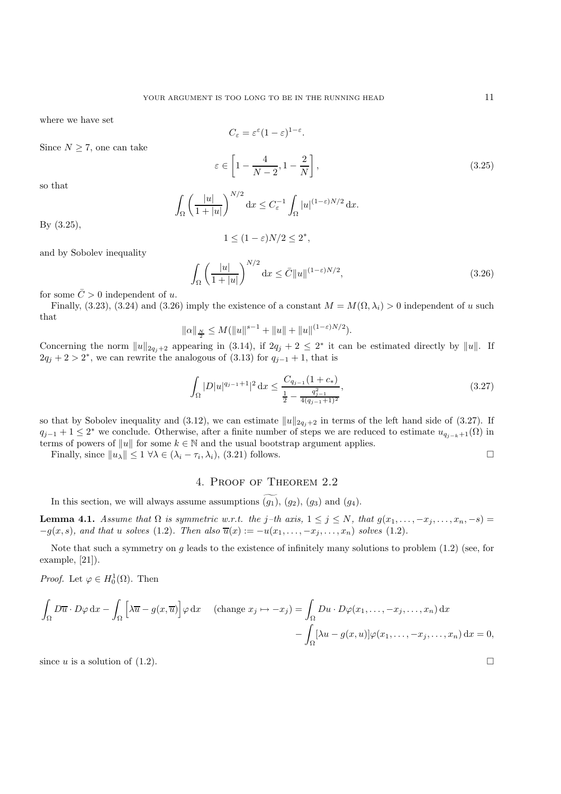where we have set

Since  $N \geq 7$ , one can take

 $C_{\varepsilon} = \varepsilon^{\varepsilon} (1 - \varepsilon)^{1 - \varepsilon}.$  $\varepsilon \in \left[1-\frac{4}{N-2},1-\frac{2}{N}\right]$ 1

so that

$$
\int_{\Omega} \left( \frac{|u|}{1+|u|} \right)^{N/2} \mathrm{d}x \le C_{\varepsilon}^{-1} \int_{\Omega} |u|^{(1-\varepsilon)N/2} \mathrm{d}x.
$$

By (3.25),

$$
1 \le (1 - \varepsilon)N/2 \le 2^*,
$$

and by Sobolev inequality

$$
\int_{\Omega} \left( \frac{|u|}{1+|u|} \right)^{N/2} \mathrm{d}x \le \bar{C} \|u\|^{(1-\varepsilon)N/2},\tag{3.26}
$$

for some  $\overline{C} > 0$  independent of u.

Finally, (3.23), (3.24) and (3.26) imply the existence of a constant  $M = M(\Omega, \lambda_i) > 0$  independent of u such that

$$
\|\alpha\|_{\frac{N}{2}} \leq M(\|u\|^{s-1} + \|u\| + \|u\|^{(1-\varepsilon)N/2}).
$$

Concerning the norm  $||u||_{2q_j+2}$  appearing in (3.14), if  $2q_j + 2 \leq 2^*$  it can be estimated directly by  $||u||$ . If  $2q_j + 2 > 2^*$ , we can rewrite the analogous of (3.13) for  $q_{j-1} + 1$ , that is

$$
\int_{\Omega} |D| u|^{q_{j-1}+1} |^{2} \, \mathrm{d}x \le \frac{C_{q_{j-1}} (1 + c_{*})}{\frac{1}{2} - \frac{q_{j-1}^{2}}{4(q_{j-1}+1)^{2}}},\tag{3.27}
$$

so that by Sobolev inequality and (3.12), we can estimate  $||u||_{2q_i+2}$  in terms of the left hand side of (3.27). If  $q_{j-1} + 1 \leq 2^*$  we conclude. Otherwise, after a finite number of steps we are reduced to estimate  $u_{q_{j-k}+1}(\Omega)$  in terms of powers of ||u|| for some  $k \in \mathbb{N}$  and the usual bootstrap argument applies.

Finally, since  $||u_\lambda|| \leq 1 \,\forall \lambda \in (\lambda_i - \tau_i, \lambda_i),$  (3.21) follows.

### 4. Proof of Theorem 2.2

In this section, we will always assume assumptions  $(g_1)$ ,  $(g_2)$ ,  $(g_3)$  and  $(g_4)$ .

**Lemma 4.1.** *Assume that*  $\Omega$  *is symmetric w.r.t. the* j–th axis,  $1 \leq j \leq N$ , that  $g(x_1, \ldots, -x_j, \ldots, x_n, -s)$  =  $-g(x, s)$ *, and that u solves* (1.2)*. Then also*  $\overline{u}(x) := -u(x_1, \ldots, -x_j, \ldots, x_n)$  *solves* (1.2)*.* 

Note that such a symmetry on g leads to the existence of infinitely many solutions to problem  $(1.2)$  (see, for example, [21]).

*Proof.* Let  $\varphi \in H_0^1(\Omega)$ . Then

$$
\int_{\Omega} D\overline{u} \cdot D\varphi \,dx - \int_{\Omega} \left[ \lambda \overline{u} - g(x, \overline{u}) \right] \varphi \,dx \quad \text{(change } x_j \mapsto -x_j) = \int_{\Omega} Du \cdot D\varphi(x_1, \dots, -x_j, \dots, x_n) \,dx
$$

$$
- \int_{\Omega} \left[ \lambda u - g(x, u) \right] \varphi(x_1, \dots, -x_j, \dots, x_n) \,dx = 0,
$$

since u is a solution of (1.2).

 $(3.25)$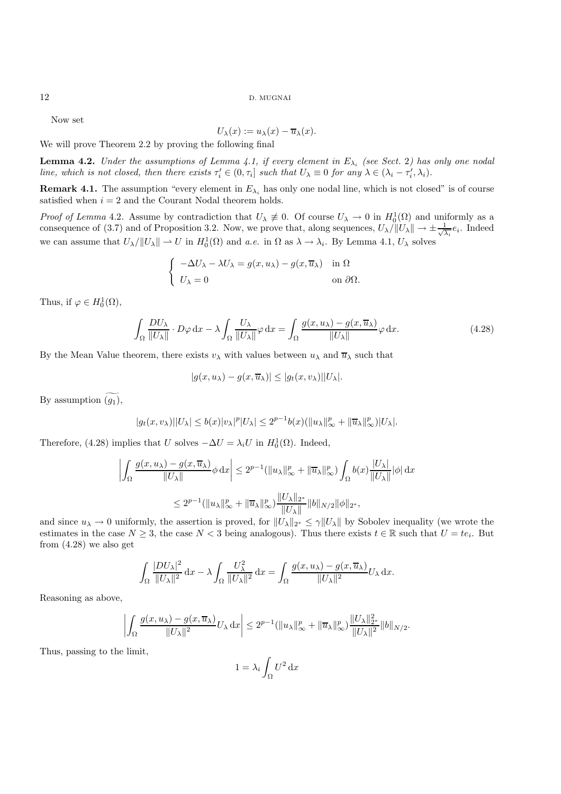Now set

$$
U_{\lambda}(x) := u_{\lambda}(x) - \overline{u}_{\lambda}(x)
$$

 $U_{\lambda}(x) := u_{\lambda}(x) - \overline{u}_{\lambda}(x)$ .<br>We will prove Theorem 2.2 by proving the following final

**Lemma 4.2.** *Under the assumptions of Lemma 4.1, if every element in*  $E_{\lambda_i}$  *(see Sect.* 2*) has only one nodal line, which is not closed, then there exists*  $\tau'_i \in (0, \tau_i]$  *such that*  $U_\lambda \equiv 0$  *for any*  $\lambda \in (\lambda_i - \tau'_i, \lambda_i)$ *.* 

**Remark 4.1.** The assumption "every element in  $E_{\lambda_i}$  has only one nodal line, which is not closed" is of course satisfied when  $i = 2$  and the Courant Nodal theorem holds.

*Proof of Lemma* 4.2. Assume by contradiction that  $U_{\lambda} \neq 0$ . Of course  $U_{\lambda} \to 0$  in  $H_0^1(\Omega)$  and uniformly as a consequence of  $(2, 7)$  and of Proposition 2.2. Now we prove that along coverages  $U_{\lambda}^{(||U_{\lambda}||)}$  w consequence of (3.7) and of Proposition 3.2. Now, we prove that, along sequences,  $U_\lambda / ||U_\lambda|| \to \pm \frac{1}{\sqrt{2}}$  $\frac{1}{\lambda_i}e_i$ . Indeed we can assume that  $U_{\lambda}/||U_{\lambda}|| \to U$  in  $H_0^1(\Omega)$  and *a.e.* in  $\Omega$  as  $\lambda \to \lambda_i$ . By Lemma 4.1,  $U_{\lambda}$  solves

$$
\begin{cases}\n-\Delta U_{\lambda} - \lambda U_{\lambda} = g(x, u_{\lambda}) - g(x, \overline{u}_{\lambda}) & \text{in } \Omega \\
U_{\lambda} = 0 & \text{on } \partial\Omega.\n\end{cases}
$$

Thus, if  $\varphi \in H_0^1(\Omega)$ ,

$$
\int_{\Omega} \frac{DU_{\lambda}}{\|U_{\lambda}\|} \cdot D\varphi \,dx - \lambda \int_{\Omega} \frac{U_{\lambda}}{\|U_{\lambda}\|} \varphi \,dx = \int_{\Omega} \frac{g(x, u_{\lambda}) - g(x, \overline{u}_{\lambda})}{\|U_{\lambda}\|} \varphi \,dx.
$$
\n(4.28)

By the Mean Value theorem, there exists  $v_\lambda$  with values between  $u_\lambda$  and  $\overline{u}_\lambda$  such that

$$
|g(x, u_\lambda) - g(x, \overline{u}_\lambda)| \leq |g_t(x, v_\lambda)| |U_\lambda|.
$$

By assumption  $(g_1)$ ,

$$
|g_t(x,v_\lambda)||U_\lambda| \leq b(x)|v_\lambda|^p |U_\lambda| \leq 2^{p-1}b(x)(\|u_\lambda\|_\infty^p + \|\overline{u}_\lambda\|_\infty^p)|U_\lambda|.
$$

Therefore, (4.28) implies that U solves  $-\Delta U = \lambda_i U$  in  $H_0^1(\Omega)$ . Indeed,

$$
\left| \int_{\Omega} \frac{g(x, u_{\lambda}) - g(x, \overline{u}_{\lambda})}{\|U_{\lambda}\|} \phi \,dx \right| \leq 2^{p-1} (\|u_{\lambda}\|_{\infty}^p + \|\overline{u}_{\lambda}\|_{\infty}^p) \int_{\Omega} b(x) \frac{|U_{\lambda}|}{\|U_{\lambda}\|} |\phi| \,dx
$$
  

$$
\leq 2^{p-1} (\|u_{\lambda}\|_{\infty}^p + \|\overline{u}_{\lambda}\|_{\infty}^p) \frac{\|U_{\lambda}\|_{2^*}}{\|U_{\lambda}\|} \, \|b\|_{N/2} \|\phi\|_{2^*},
$$

and since  $u_{\lambda} \to 0$  uniformly, the assertion is proved, for  $||U_{\lambda}||_{2^*} \leq \gamma ||U_{\lambda}||$  by Sobolev inequality (we wrote the estimates in the second  $N > 2$  the second  $N \leq 2$  being enclosure). Thus there exists  $t \in \mathbb{R$ estimates in the case  $N \geq 3$ , the case  $N < 3$  being analogous). Thus there exists  $t \in \mathbb{R}$  such that  $U = te_i$ . But from (4.28) we also get

$$
\int_{\Omega} \frac{|DU_{\lambda}|^2}{\|U_{\lambda}\|^2} dx - \lambda \int_{\Omega} \frac{U_{\lambda}^2}{\|U_{\lambda}\|^2} dx = \int_{\Omega} \frac{g(x, u_{\lambda}) - g(x, \overline{u}_{\lambda})}{\|U_{\lambda}\|^2} U_{\lambda} dx.
$$

Reasoning as above,

$$
\left| \int_{\Omega} \frac{g(x, u_{\lambda}) - g(x, \overline{u}_{\lambda})}{\|U_{\lambda}\|^2} U_{\lambda} \, dx \right| \leq 2^{p-1} (\|u_{\lambda}\|_{\infty}^p + \|\overline{u}_{\lambda}\|_{\infty}^p) \frac{\|U_{\lambda}\|_{2^*}^2}{\|U_{\lambda}\|^2} \|b\|_{N/2}.
$$

Thus, passing to the limit,

$$
1 = \lambda_i \int_{\Omega} U^2 \, \mathrm{d}x
$$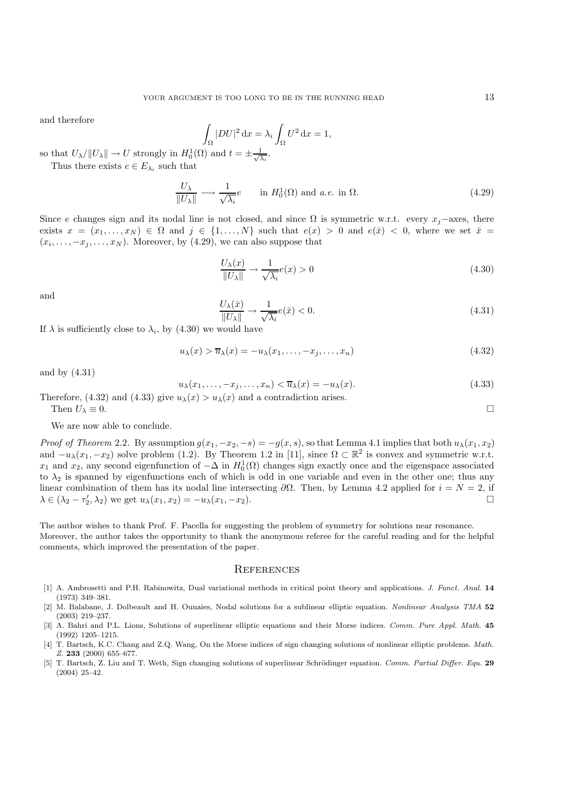and therefore

$$
\int_{\Omega} |DU|^2 \, \mathrm{d}x = \lambda_i \int_{\Omega} U^2 \, \mathrm{d}x = 1,
$$
\n
$$
\text{(a) and } t = \pm \frac{1}{\Delta}.
$$

so that  $U_{\lambda} / ||U_{\lambda}|| \to U$  strongly in  $H_0^1(\Omega)$  and  $t = \pm \frac{1}{\sqrt{2}}$  $\lambda_i$ Thus there exists  $e \in E_{\lambda_i}$  such that

 $\frac{U_{\lambda}}{\|U_{\lambda}\|} \longrightarrow \frac{1}{\sqrt{\lambda_i}}e$  in  $H_0^1(\Omega)$  and *a.e.* in  $\Omega$ . (4.29)

Since e changes sign and its nodal line is not closed, and since  $\Omega$  is symmetric w.r.t. every  $x_i$ –axes, there exists  $x = (x_1, \ldots, x_N) \in \Omega$  and  $j \in \{1, \ldots, N\}$  such that  $e(x) > 0$  and  $e(\bar{x}) < 0$ , where we set  $\bar{x} =$  $(x_i, \ldots, -x_j, \ldots, x_N)$ . Moreover, by (4.29), we can also suppose that

$$
\frac{U_{\lambda}(x)}{\|U_{\lambda}\|} \to \frac{1}{\sqrt{\lambda_i}} e(x) > 0
$$
\n(4.30)

and

$$
\frac{U_{\lambda}(\bar{x})}{\|U_{\lambda}\|} \to \frac{1}{\sqrt{\lambda_i}} e(\bar{x}) < 0. \tag{4.31}
$$

If  $\lambda$  is sufficiently close to  $\lambda_i$ , by (4.30) we would have

$$
u_{\lambda}(x) > \overline{u}_{\lambda}(x) = -u_{\lambda}(x_1, \dots, -x_j, \dots, x_n)
$$
\n(4.32)

and by (4.31)

$$
u_{\lambda}(x_1, \ldots, -x_j, \ldots, x_n) < \overline{u}_{\lambda}(x) = -u_{\lambda}(x). \tag{4.33}
$$

Therefore, (4.32) and (4.33) give  $u_{\lambda}(x) > u_{\lambda}(x)$  and a contradiction arises.<br>Then  $U_{\lambda} \equiv 0$ . Then  $U_{\lambda} \equiv 0$ .

We are now able to conclude.

*Proof of Theorem* 2.2. By assumption  $g(x_1, -x_2, -s) = -g(x, s)$ , so that Lemma 4.1 implies that both  $u_\lambda(x_1, x_2)$ and  $-u_\lambda(x_1, -x_2)$  solve problem (1.2). By Theorem 1.2 in [11], since  $\Omega \subset \mathbb{R}^2$  is convex and symmetric w.r.t.  $x_1$  and  $x_2$ , any second eigenfunction of  $-\Delta$  in  $H_0^1(\Omega)$  changes sign exactly once and the eigenspace associated to  $\lambda_2$  is spanned by eigenfunctions each of which is odd in one variable and even in the other one; thus any linear combination of them has its nodal line intersecting  $\partial\Omega$ . Then, by Lemma 4.2 applied for  $i = N = 2$ , if  $\lambda \in (\lambda_2 - \tau_2', \lambda_2)$  we get  $u_\lambda(x_1, x_2) = -u_\lambda(x_1, -x_2).$ 

The author wishes to thank Prof. F. Pacella for suggesting the problem of symmetry for solutions near resonance. Moreover, the author takes the opportunity to thank the anonymous referee for the careful reading and for the helpful comments, which improved the presentation of the paper.

#### **REFERENCES**

- [1] A. Ambrosetti and P.H. Rabinowitz, Dual variational methods in critical point theory and applications. J. Funct. Anal. **14** (1973) 349–381.
- [2] M. Balabane, J. Dolbeault and H. Ounaies, Nodal solutions for a sublinear elliptic equation. Nonlinear Analysis TMA **52** (2003) 219–237.
- [3] A. Bahri and P.L. Lions, Solutions of superlinear elliptic equations and their Morse indices. Comm. Pure Appl. Math. **45** (1992) 1205–1215.
- [4] T. Bartsch, K.C. Chang and Z.Q. Wang, On the Morse indices of sign changing solutions of nonlinear elliptic problems. Math. Z. **233** (2000) 655–677.
- [5] T. Bartsch, Z. Liu and T. Weth, Sign changing solutions of superlinear Schrödinger equation. Comm. Partial Differ. Equ. 29 (2004) 25–42.